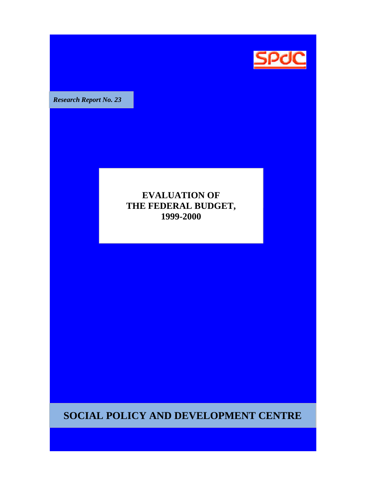

**Research Report No. 23** 

### **EVALUATION OF THE FEDERAL BUDGET, 1999-2000**

**SOCIAL POLICY AND DEVELOPMENT CENTRE**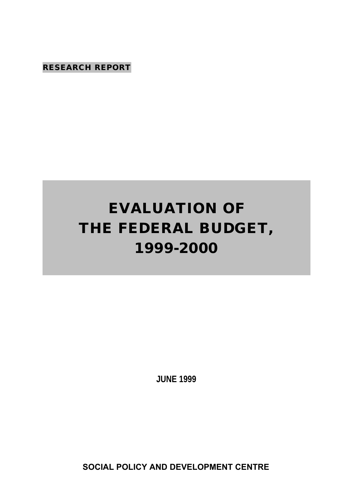**RESEARCH REPORT**

# **EVALUATION OF THE FEDERAL BUDGET, 1999-2000**

**JUNE 1999**

**SOCIAL POLICY AND DEVELOPMENT CENTRE**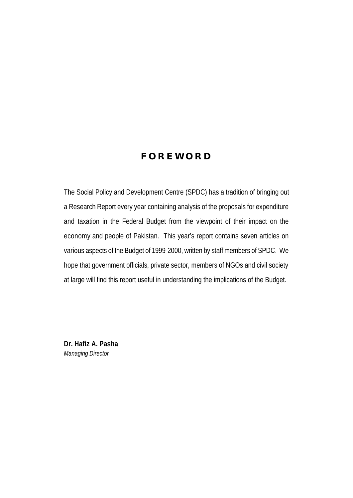### **FOREWORD**

The Social Policy and Development Centre (SPDC) has a tradition of bringing out a Research Report every year containing analysis of the proposals for expenditure and taxation in the Federal Budget from the viewpoint of their impact on the economy and people of Pakistan. This year's report contains seven articles on various aspects of the Budget of 1999-2000, written by staff members of SPDC. We hope that government officials, private sector, members of NGOs and civil society at large will find this report useful in understanding the implications of the Budget.

**Dr. Hafiz A. Pasha** *Managing Director*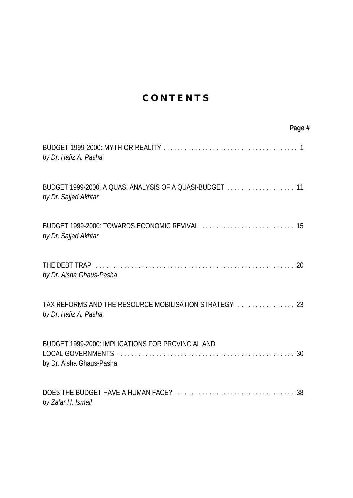## **CONTENTS**

| Page #                                                                           |
|----------------------------------------------------------------------------------|
| by Dr. Hafiz A. Pasha                                                            |
| BUDGET 1999-2000: A QUASI ANALYSIS OF A QUASI-BUDGET  11<br>by Dr. Sajjad Akhtar |
| by Dr. Sajjad Akhtar                                                             |
| 20<br>by Dr. Aisha Ghaus-Pasha                                                   |
| TAX REFORMS AND THE RESOURCE MOBILISATION STRATEGY  23<br>by Dr. Hafiz A. Pasha  |
| BUDGET 1999-2000: IMPLICATIONS FOR PROVINCIAL AND<br>by Dr. Aisha Ghaus-Pasha    |
| by Zafar H. Ismail                                                               |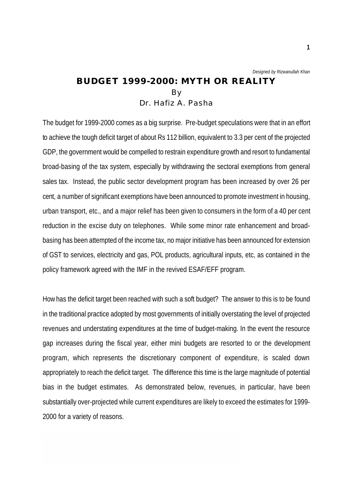*Designed by Rizwanullah Khan*

### **BUDGET 1999-2000: MYTH OR REALITY** By Dr. Hafiz A. Pasha

The budget for 1999-2000 comes as a big surprise. Pre-budget speculations were that in an effort to achieve the tough deficit target of about Rs 112 billion, equivalent to 3.3 per cent of the projected GDP, the government would be compelled to restrain expenditure growth and resort to fundamental broad-basing of the tax system, especially by withdrawing the sectoral exemptions from general sales tax. Instead, the public sector development program has been increased by over 26 per cent, a number of significant exemptions have been announced to promote investment in housing, urban transport, etc., and a major relief has been given to consumers in the form of a 40 per cent reduction in the excise duty on telephones. While some minor rate enhancement and broadbasing has been attempted of the income tax, no major initiative has been announced for extension of GST to services, electricity and gas, POL products, agricultural inputs, etc, as contained in the policy framework agreed with the IMF in the revived ESAF/EFF program.

How has the deficit target been reached with such a soft budget? The answer to this is to be found in the traditional practice adopted by most governments of initially overstating the level of projected revenues and understating expenditures at the time of budget-making. In the event the resource gap increases during the fiscal year, either mini budgets are resorted to or the development program, which represents the discretionary component of expenditure, is scaled down appropriately to reach the deficit target. The difference this time is the large magnitude of potential bias in the budget estimates. As demonstrated below, revenues, in particular, have been substantially over-projected while current expenditures are likely to exceed the estimates for 1999- 2000 for a variety of reasons.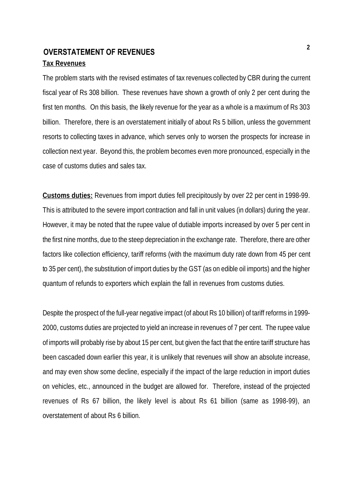### **Tax Revenues OVERSTATEMENT OF REVENUES**

The problem starts with the revised estimates of tax revenues collected by CBR during the current fiscal year of Rs 308 billion. These revenues have shown a growth of only 2 per cent during the first ten months. On this basis, the likely revenue for the year as a whole is a maximum of Rs 303 billion. Therefore, there is an overstatement initially of about Rs 5 billion, unless the government resorts to collecting taxes in advance, which serves only to worsen the prospects for increase in collection next year. Beyond this, the problem becomes even more pronounced, especially in the case of customs duties and sales tax.

**Customs duties:** Revenues from import duties fell precipitously by over 22 per cent in 1998-99. This is attributed to the severe import contraction and fall in unit values (in dollars) during the year. However, it may be noted that the rupee value of dutiable imports increased by over 5 per cent in the first nine months, due to the steep depreciation in the exchange rate. Therefore, there are other factors like collection efficiency, tariff reforms (with the maximum duty rate down from 45 per cent to 35 per cent), the substitution of import duties by the GST (as on edible oil imports) and the higher quantum of refunds to exporters which explain the fall in revenues from customs duties.

Despite the prospect of the full-year negative impact (of about Rs 10 billion) of tariff reforms in 1999- 2000, customs duties are projected to yield an increase in revenues of 7 per cent. The rupee value of imports will probably rise by about 15 per cent, but given the fact that the entire tariff structure has been cascaded down earlier this year, it is unlikely that revenues will show an absolute increase, and may even show some decline, especially if the impact of the large reduction in import duties on vehicles, etc., announced in the budget are allowed for. Therefore, instead of the projected revenues of Rs 67 billion, the likely level is about Rs 61 billion (same as 1998-99), an overstatement of about Rs 6 billion.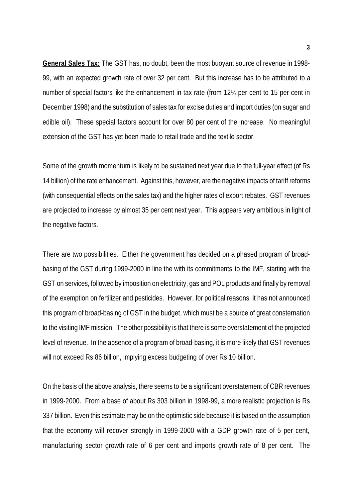**General Sales Tax:** The GST has, no doubt, been the most buoyant source of revenue in 1998- 99, with an expected growth rate of over 32 per cent. But this increase has to be attributed to a number of special factors like the enhancement in tax rate (from 12½ per cent to 15 per cent in December 1998) and the substitution of sales tax for excise duties and import duties (on sugar and edible oil). These special factors account for over 80 per cent of the increase. No meaningful extension of the GST has yet been made to retail trade and the textile sector.

Some of the growth momentum is likely to be sustained next year due to the full-year effect (of Rs 14 billion) of the rate enhancement. Against this, however, are the negative impacts of tariff reforms (with consequential effects on the sales tax) and the higher rates of export rebates. GST revenues are projected to increase by almost 35 per cent next year. This appears very ambitious in light of the negative factors.

There are two possibilities. Either the government has decided on a phased program of broadbasing of the GST during 1999-2000 in line the with its commitments to the IMF, starting with the GST on services, followed by imposition on electricity, gas and POL products and finally by removal of the exemption on fertilizer and pesticides. However, for political reasons, it has not announced this program of broad-basing of GST in the budget, which must be a source of great consternation to the visiting IMF mission. The other possibility is that there is some overstatement of the projected level of revenue. In the absence of a program of broad-basing, it is more likely that GST revenues will not exceed Rs 86 billion, implying excess budgeting of over Rs 10 billion.

On the basis of the above analysis, there seems to be a significant overstatement of CBR revenues in 1999-2000. From a base of about Rs 303 billion in 1998-99, a more realistic projection is Rs 337 billion. Even this estimate may be on the optimistic side because it is based on the assumption that the economy will recover strongly in 1999-2000 with a GDP growth rate of 5 per cent, manufacturing sector growth rate of 6 per cent and imports growth rate of 8 per cent. The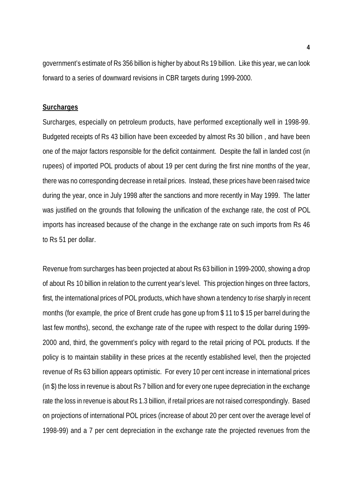government's estimate of Rs 356 billion is higher by about Rs 19 billion. Like this year, we can look forward to a series of downward revisions in CBR targets during 1999-2000.

#### **Surcharges**

Surcharges, especially on petroleum products, have performed exceptionally well in 1998-99. Budgeted receipts of Rs 43 billion have been exceeded by almost Rs 30 billion , and have been one of the major factors responsible for the deficit containment. Despite the fall in landed cost (in rupees) of imported POL products of about 19 per cent during the first nine months of the year, there was no corresponding decrease in retail prices. Instead, these prices have been raised twice during the year, once in July 1998 after the sanctions and more recently in May 1999. The latter was justified on the grounds that following the unification of the exchange rate, the cost of POL imports has increased because of the change in the exchange rate on such imports from Rs 46 to Rs 51 per dollar.

Revenue from surcharges has been projected at about Rs 63 billion in 1999-2000, showing a drop of about Rs 10 billion in relation to the current year's level. This projection hinges on three factors, first, the international prices of POL products, which have shown a tendency to rise sharply in recent months (for example, the price of Brent crude has gone up from \$ 11 to \$ 15 per barrel during the last few months), second, the exchange rate of the rupee with respect to the dollar during 1999- 2000 and, third, the government's policy with regard to the retail pricing of POL products. If the policy is to maintain stability in these prices at the recently established level, then the projected revenue of Rs 63 billion appears optimistic. For every 10 per cent increase in international prices (in \$) the loss in revenue is about Rs 7 billion and for every one rupee depreciation in the exchange rate the loss in revenue is about Rs 1.3 billion, if retail prices are not raised correspondingly. Based on projections of international POL prices (increase of about 20 per cent over the average level of 1998-99) and a 7 per cent depreciation in the exchange rate the projected revenues from the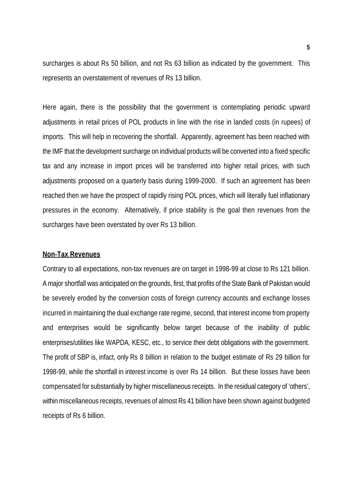surcharges is about Rs 50 billion, and not Rs 63 billion as indicated by the government. This represents an overstatement of revenues of Rs 13 billion.

Here again, there is the possibility that the government is contemplating periodic upward adjustments in retail prices of POL products in line with the rise in landed costs (in rupees) of imports. This will help in recovering the shortfall. Apparently, agreement has been reached with the IMF that the development surcharge on individual products will be converted into a fixed specific tax and any increase in import prices will be transferred into higher retail prices, with such adjustments proposed on a quarterly basis during 1999-2000. If such an agreement has been reached then we have the prospect of rapidly rising POL prices, which will literally fuel inflationary pressures in the economy. Alternatively, if price stability is the goal then revenues from the surcharges have been overstated by over Rs 13 billion.

#### **Non-Tax Revenues**

Contrary to all expectations, non-tax revenues are on target in 1998-99 at close to Rs 121 billion. A major shortfall was anticipated on the grounds, first, that profits of the State Bank of Pakistan would be severely eroded by the conversion costs of foreign currency accounts and exchange losses incurred in maintaining the dual exchange rate regime, second, that interest income from property and enterprises would be significantly below target because of the inability of public enterprises/utilities like WAPDA, KESC, etc., to service their debt obligations with the government. The profit of SBP is, infact, only Rs 8 billion in relation to the budget estimate of Rs 29 billion for 1998-99, while the shortfall in interest income is over Rs 14 billion. But these losses have been compensated for substantially by higher miscellaneous receipts. In the residual category of 'others', within miscellaneous receipts, revenues of almost Rs 41 billion have been shown against budgeted receipts of Rs 6 billion.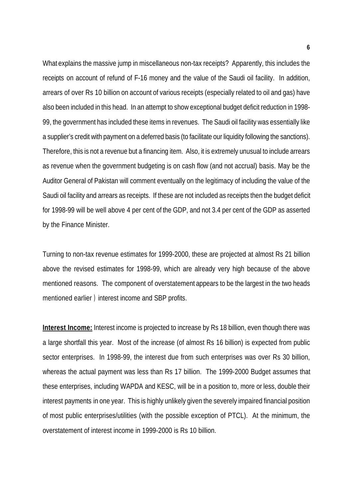What explains the massive jump in miscellaneous non-tax receipts? Apparently, this includes the receipts on account of refund of F-16 money and the value of the Saudi oil facility. In addition, arrears of over Rs 10 billion on account of various receipts (especially related to oil and gas) have also been included in this head. In an attempt to show exceptional budget deficit reduction in 1998- 99, the government has included these items in revenues. The Saudi oil facility was essentially like a supplier's credit with payment on a deferred basis (to facilitate our liquidity following the sanctions). Therefore, this is not a revenue but a financing item. Also, it is extremely unusual to include arrears as revenue when the government budgeting is on cash flow (and not accrual) basis. May be the Auditor General of Pakistan will comment eventually on the legitimacy of including the value of the Saudi oil facility and arrears as receipts. If these are not included as receipts then the budget deficit for 1998-99 will be well above 4 per cent of the GDP, and not 3.4 per cent of the GDP as asserted by the Finance Minister.

Turning to non-tax revenue estimates for 1999-2000, these are projected at almost Rs 21 billion above the revised estimates for 1998-99, which are already very high because of the above mentioned reasons. The component of overstatement appears to be the largest in the two heads mentioned earlier ) interest income and SBP profits.

**Interest Income:** Interest income is projected to increase by Rs 18 billion, even though there was a large shortfall this year. Most of the increase (of almost Rs 16 billion) is expected from public sector enterprises. In 1998-99, the interest due from such enterprises was over Rs 30 billion, whereas the actual payment was less than Rs 17 billion. The 1999-2000 Budget assumes that these enterprises, including WAPDA and KESC, will be in a position to, more or less, double their interest payments in one year. This is highly unlikely given the severely impaired financial position of most public enterprises/utilities (with the possible exception of PTCL). At the minimum, the overstatement of interest income in 1999-2000 is Rs 10 billion.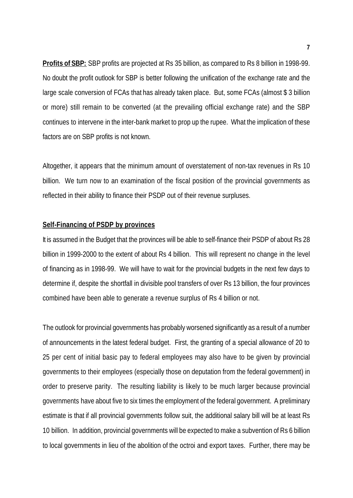**Profits of SBP:** SBP profits are projected at Rs 35 billion, as compared to Rs 8 billion in 1998-99. No doubt the profit outlook for SBP is better following the unification of the exchange rate and the large scale conversion of FCAs that has already taken place. But, some FCAs (almost \$ 3 billion or more) still remain to be converted (at the prevailing official exchange rate) and the SBP continues to intervene in the inter-bank market to prop up the rupee. What the implication of these factors are on SBP profits is not known.

Altogether, it appears that the minimum amount of overstatement of non-tax revenues in Rs 10 billion. We turn now to an examination of the fiscal position of the provincial governments as reflected in their ability to finance their PSDP out of their revenue surpluses.

### **Self-Financing of PSDP by provinces**

It is assumed in the Budget that the provinces will be able to self-finance their PSDP of about Rs 28 billion in 1999-2000 to the extent of about Rs 4 billion. This will represent no change in the level of financing as in 1998-99. We will have to wait for the provincial budgets in the next few days to determine if, despite the shortfall in divisible pool transfers of over Rs 13 billion, the four provinces combined have been able to generate a revenue surplus of Rs 4 billion or not.

The outlook for provincial governments has probably worsened significantly as a result of a number of announcements in the latest federal budget. First, the granting of a special allowance of 20 to 25 per cent of initial basic pay to federal employees may also have to be given by provincial governments to their employees (especially those on deputation from the federal government) in order to preserve parity. The resulting liability is likely to be much larger because provincial governments have about five to six times the employment of the federal government. A preliminary estimate is that if all provincial governments follow suit, the additional salary bill will be at least Rs 10 billion. In addition, provincial governments will be expected to make a subvention of Rs 6 billion to local governments in lieu of the abolition of the octroi and export taxes. Further, there may be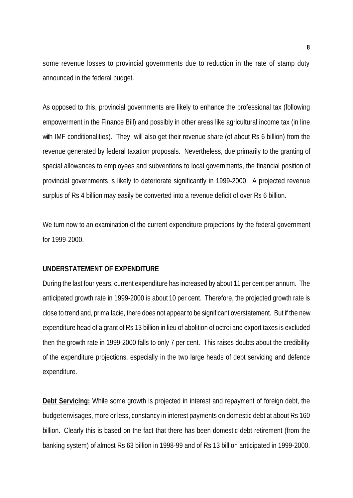some revenue losses to provincial governments due to reduction in the rate of stamp duty announced in the federal budget.

As opposed to this, provincial governments are likely to enhance the professional tax (following empowerment in the Finance Bill) and possibly in other areas like agricultural income tax (in line with IMF conditionalities). They will also get their revenue share (of about Rs 6 billion) from the revenue generated by federal taxation proposals. Nevertheless, due primarily to the granting of special allowances to employees and subventions to local governments, the financial position of provincial governments is likely to deteriorate significantly in 1999-2000. A projected revenue surplus of Rs 4 billion may easily be converted into a revenue deficit of over Rs 6 billion.

We turn now to an examination of the current expenditure projections by the federal government for 1999-2000.

### **UNDERSTATEMENT OF EXPENDITURE**

During the last four years, current expenditure has increased by about 11 per cent per annum. The anticipated growth rate in 1999-2000 is about 10 per cent. Therefore, the projected growth rate is close to trend and, prima facie, there does not appear to be significant overstatement. But if the new expenditure head of a grant of Rs 13 billion in lieu of abolition of octroi and export taxes is excluded then the growth rate in 1999-2000 falls to only 7 per cent. This raises doubts about the credibility of the expenditure projections, especially in the two large heads of debt servicing and defence expenditure.

**Debt Servicing:** While some growth is projected in interest and repayment of foreign debt, the budget envisages, more or less, constancy in interest payments on domestic debt at about Rs 160 billion. Clearly this is based on the fact that there has been domestic debt retirement (from the banking system) of almost Rs 63 billion in 1998-99 and of Rs 13 billion anticipated in 1999-2000.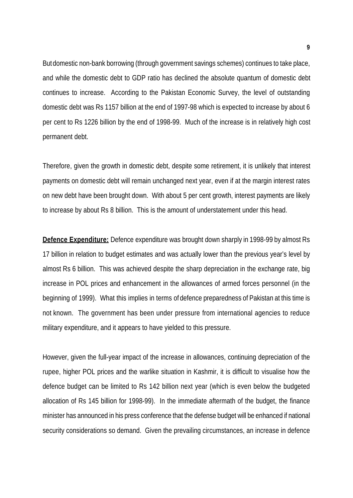But domestic non-bank borrowing (through government savings schemes) continues to take place, and while the domestic debt to GDP ratio has declined the absolute quantum of domestic debt continues to increase. According to the Pakistan Economic Survey, the level of outstanding domestic debt was Rs 1157 billion at the end of 1997-98 which is expected to increase by about 6 per cent to Rs 1226 billion by the end of 1998-99. Much of the increase is in relatively high cost permanent debt.

Therefore, given the growth in domestic debt, despite some retirement, it is unlikely that interest payments on domestic debt will remain unchanged next year, even if at the margin interest rates on new debt have been brought down. With about 5 per cent growth, interest payments are likely to increase by about Rs 8 billion. This is the amount of understatement under this head.

**Defence Expenditure:** Defence expenditure was brought down sharply in 1998-99 by almost Rs 17 billion in relation to budget estimates and was actually lower than the previous year's level by almost Rs 6 billion. This was achieved despite the sharp depreciation in the exchange rate, big increase in POL prices and enhancement in the allowances of armed forces personnel (in the beginning of 1999). What this implies in terms of defence preparedness of Pakistan at this time is not known. The government has been under pressure from international agencies to reduce military expenditure, and it appears to have yielded to this pressure.

However, given the full-year impact of the increase in allowances, continuing depreciation of the rupee, higher POL prices and the warlike situation in Kashmir, it is difficult to visualise how the defence budget can be limited to Rs 142 billion next year (which is even below the budgeted allocation of Rs 145 billion for 1998-99). In the immediate aftermath of the budget, the finance minister has announced in his press conference that the defense budget will be enhanced if national security considerations so demand. Given the prevailing circumstances, an increase in defence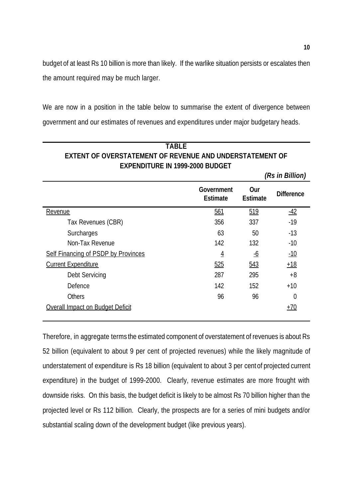budget of at least Rs 10 billion is more than likely. If the warlike situation persists or escalates then the amount required may be much larger.

We are now in a position in the table below to summarise the extent of divergence between government and our estimates of revenues and expenditures under major budgetary heads.

| <b>TARIF</b>                                             |
|----------------------------------------------------------|
| EXTENT OF OVERSTATEMENT OF REVENUE AND UNDERSTATEMENT OF |
| <b>EXPENDITURE IN 1999-2000 BUDGET</b>                   |

|                                     |                               |                        | (Rs in Billion)   |
|-------------------------------------|-------------------------------|------------------------|-------------------|
|                                     | Government<br><b>Estimate</b> | Our<br><b>Estimate</b> | <b>Difference</b> |
| Revenue                             | 561                           | 519                    | $-42$             |
| Tax Revenues (CBR)                  | 356                           | 337                    | $-19$             |
| Surcharges                          | 63                            | 50                     | $-13$             |
| Non-Tax Revenue                     | 142                           | 132                    | $-10$             |
| Self Financing of PSDP by Provinces | $\overline{4}$                | <u>-6</u>              | $-10$             |
| <b>Current Expenditure</b>          | 525                           | 543                    | $+18$             |
| Debt Servicing                      | 287                           | 295                    | $+8$              |
| Defence                             | 142                           | 152                    | $+10$             |
| <b>Others</b>                       | 96                            | 96                     | 0                 |
| Overall Impact on Budget Deficit    |                               |                        | $+70$             |

Therefore, in aggregate terms the estimated component of overstatement of revenues is about Rs 52 billion (equivalent to about 9 per cent of projected revenues) while the likely magnitude of understatement of expenditure is Rs 18 billion (equivalent to about 3 per cent of projected current expenditure) in the budget of 1999-2000. Clearly, revenue estimates are more frought with downside risks. On this basis, the budget deficit is likely to be almost Rs 70 billion higher than the projected level or Rs 112 billion. Clearly, the prospects are for a series of mini budgets and/or substantial scaling down of the development budget (like previous years).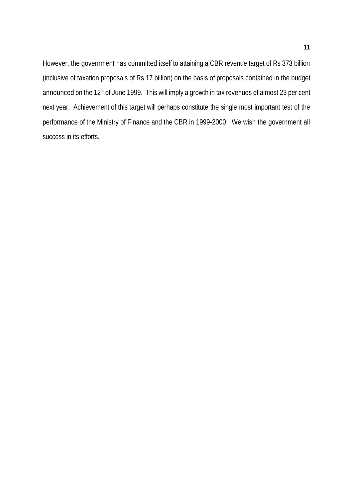However, the government has committed itself to attaining a CBR revenue target of Rs 373 billion (inclusive of taxation proposals of Rs 17 billion) on the basis of proposals contained in the budget announced on the 12<sup>th</sup> of June 1999. This will imply a growth in tax revenues of almost 23 per cent next year. Achievement of this target will perhaps constitute the single most important test of the performance of the Ministry of Finance and the CBR in 1999-2000. We wish the government all success in its efforts.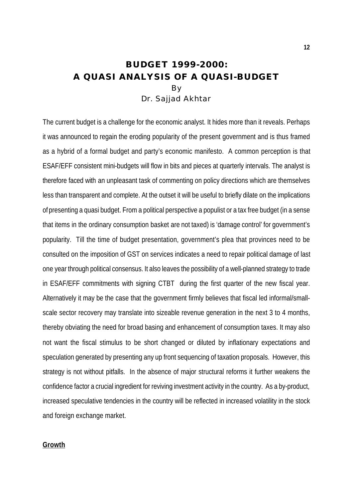### **BUDGET 1999-2000: A QUASI ANALYSIS OF A QUASI-BUDGET** By Dr. Sajjad Akhtar

The current budget is a challenge for the economic analyst. It hides more than it reveals. Perhaps it was announced to regain the eroding popularity of the present government and is thus framed as a hybrid of a formal budget and party's economic manifesto. A common perception is that ESAF/EFF consistent mini-budgets will flow in bits and pieces at quarterly intervals. The analyst is therefore faced with an unpleasant task of commenting on policy directions which are themselves less than transparent and complete. At the outset it will be useful to briefly dilate on the implications of presenting a quasi budget. From a political perspective a populist or a tax free budget (in a sense that items in the ordinary consumption basket are not taxed) is 'damage control' for government's popularity. Till the time of budget presentation, government's plea that provinces need to be consulted on the imposition of GST on services indicates a need to repair political damage of last one year through political consensus. It also leaves the possibility of a well-planned strategy to trade in ESAF/EFF commitments with signing CTBT during the first quarter of the new fiscal year. Alternatively it may be the case that the government firmly believes that fiscal led informal/smallscale sector recovery may translate into sizeable revenue generation in the next 3 to 4 months, thereby obviating the need for broad basing and enhancement of consumption taxes. It may also not want the fiscal stimulus to be short changed or diluted by inflationary expectations and speculation generated by presenting any up front sequencing of taxation proposals. However, this strategy is not without pitfalls. In the absence of major structural reforms it further weakens the confidence factor a crucial ingredient for reviving investment activity in the country. As a by-product, increased speculative tendencies in the country will be reflected in increased volatility in the stock and foreign exchange market.

#### **Growth**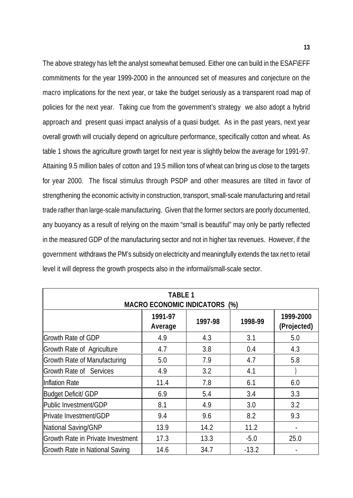The above strategy has left the analyst somewhat bemused. Either one can build in the ESAF\EFF commitments for the year 1999-2000 in the announced set of measures and conjecture on the macro implications for the next year, or take the budget seriously as a transparent road map of policies for the next year. Taking cue from the government's strategy we also adopt a hybrid approach and present quasi impact analysis of a quasi budget. As in the past years, next year overall growth will crucially depend on agriculture performance, specifically cotton and wheat. As table 1 shows the agriculture growth target for next year is slightly below the average for 1991-97. Attaining 9.5 million bales of cotton and 19.5 million tons of wheat can bring us close to the targets for year 2000. The fiscal stimulus through PSDP and other measures are tilted in favor of strengthening the economic activity in construction, transport, small-scale manufacturing and retail trade rather than large-scale manufacturing. Given that the former sectors are poorly documented, any buoyancy as a result of relying on the maxim "small is beautiful" may only be partly reflected in the measured GDP of the manufacturing sector and not in higher tax revenues. However, if the government withdraws the PM's subsidy on electricity and meaningfully extends the tax net to retail level it will depress the growth prospects also in the informal/small-scale sector.

| <b>TABLE 1</b><br><b>MACRO ECONOMIC INDICATORS (%)</b> |                    |         |         |                          |  |
|--------------------------------------------------------|--------------------|---------|---------|--------------------------|--|
|                                                        | 1991-97<br>Average | 1997-98 | 1998-99 | 1999-2000<br>(Projected) |  |
| Growth Rate of GDP                                     | 4.9                | 4.3     | 3.1     | 5.0                      |  |
| Growth Rate of Agriculture                             | 4.7                | 3.8     | 0.4     | 4.3                      |  |
| Growth Rate of Manufacturing                           | 5.0                | 7.9     | 4.7     | 5.8                      |  |
| Growth Rate of Services                                | 4.9                | 3.2     | 4.1     |                          |  |
| Inflation Rate                                         | 11.4               | 7.8     | 6.1     | 6.0                      |  |
| <b>Budget Deficit/ GDP</b>                             | 6.9                | 5.4     | 3.4     | 3.3                      |  |
| Public Investment/GDP                                  | 8.1                | 4.9     | 3.0     | 3.2                      |  |
| Private Investment/GDP                                 | 9.4                | 9.6     | 8.2     | 9.3                      |  |
| National Saving/GNP                                    | 13.9               | 14.2    | 11.2    |                          |  |
| Growth Rate in Private Investment                      | 17.3               | 13.3    | $-5.0$  | 25.0                     |  |
| Growth Rate in National Saving                         | 14.6               | 34.7    | $-13.2$ |                          |  |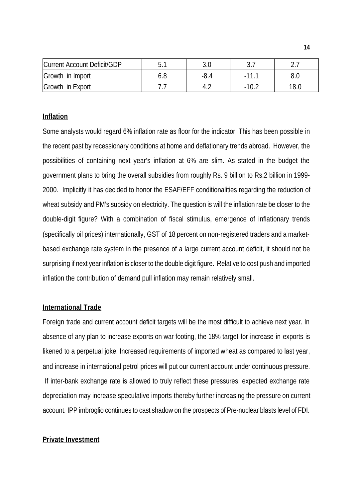| Current Account Deficit/GDP |     | ັບເປ |      |
|-----------------------------|-----|------|------|
| Growth in Import            | 6.8 |      |      |
| Growth in Export            |     |      | 18.C |

### **Inflation**

Some analysts would regard 6% inflation rate as floor for the indicator. This has been possible in the recent past by recessionary conditions at home and deflationary trends abroad. However, the possibilities of containing next year's inflation at 6% are slim. As stated in the budget the government plans to bring the overall subsidies from roughly Rs. 9 billion to Rs.2 billion in 1999- 2000. Implicitly it has decided to honor the ESAF/EFF conditionalities regarding the reduction of wheat subsidy and PM's subsidy on electricity. The question is will the inflation rate be closer to the double-digit figure? With a combination of fiscal stimulus, emergence of inflationary trends (specifically oil prices) internationally, GST of 18 percent on non-registered traders and a marketbased exchange rate system in the presence of a large current account deficit, it should not be surprising if next year inflation is closer to the double digit figure. Relative to cost push and imported inflation the contribution of demand pull inflation may remain relatively small.

### **International Trade**

Foreign trade and current account deficit targets will be the most difficult to achieve next year. In absence of any plan to increase exports on war footing, the 18% target for increase in exports is likened to a perpetual joke. Increased requirements of imported wheat as compared to last year, and increase in international petrol prices will put our current account under continuous pressure. If inter-bank exchange rate is allowed to truly reflect these pressures, expected exchange rate depreciation may increase speculative imports thereby further increasing the pressure on current account. IPP imbroglio continues to cast shadow on the prospects of Pre-nuclear blasts level of FDI.

### **Private Investment**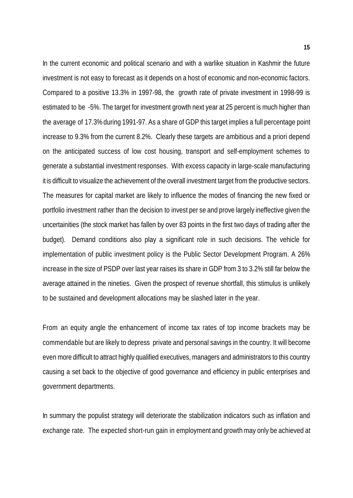In the current economic and political scenario and with a warlike situation in Kashmir the future investment is not easy to forecast as it depends on a host of economic and non-economic factors. Compared to a positive 13.3% in 1997-98, the growth rate of private investment in 1998-99 is estimated to be -5%. The target for investment growth next year at 25 percent is much higher than the average of 17.3% during 1991-97. As a share of GDP this target implies a full percentage point increase to 9.3% from the current 8.2%. Clearly these targets are ambitious and a priori depend on the anticipated success of low cost housing, transport and self-employment schemes to generate a substantial investment responses. With excess capacity in large-scale manufacturing it is difficult to visualize the achievement of the overall investment target from the productive sectors. The measures for capital market are likely to influence the modes of financing the new fixed or portfolio investment rather than the decision to invest per se and prove largely ineffective given the uncertainities (the stock market has fallen by over 83 points in the first two days of trading after the budget). Demand conditions also play a significant role in such decisions. The vehicle for implementation of public investment policy is the Public Sector Development Program. A 26% increase in the size of PSDP over last year raises its share in GDP from 3 to 3.2% still far below the average attained in the nineties. Given the prospect of revenue shortfall, this stimulus is unlikely to be sustained and development allocations may be slashed later in the year.

From an equity angle the enhancement of income tax rates of top income brackets may be commendable but are likely to depress private and personal savings in the country. It will become even more difficult to attract highly qualified executives, managers and administrators to this country causing a set back to the objective of good governance and efficiency in public enterprises and government departments.

In summary the populist strategy will deteriorate the stabilization indicators such as inflation and exchange rate. The expected short-run gain in employment and growth may only be achieved at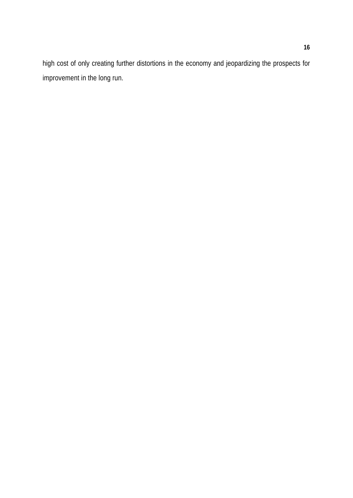high cost of only creating further distortions in the economy and jeopardizing the prospects for improvement in the long run.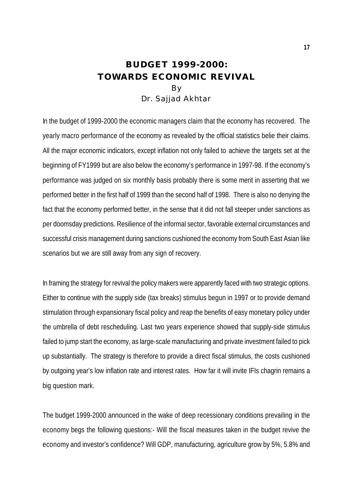### **BUDGET 1999-2000: TOWARDS ECONOMIC REVIVAL** By Dr. Sajjad Akhtar

In the budget of 1999-2000 the economic managers claim that the economy has recovered. The yearly macro performance of the economy as revealed by the official statistics belie their claims. All the major economic indicators, except inflation not only failed to achieve the targets set at the beginning of FY1999 but are also below the economy's performance in 1997-98. If the economy's performance was judged on six monthly basis probably there is some merit in asserting that we performed better in the first half of 1999 than the second half of 1998. There is also no denying the fact that the economy performed better, in the sense that it did not fall steeper under sanctions as per doomsday predictions. Resilience of the informal sector, favorable external circumstances and successful crisis management during sanctions cushioned the economy from South East Asian like scenarios but we are still away from any sign of recovery.

In framing the strategy for revival the policy makers were apparently faced with two strategic options. Either to continue with the supply side (tax breaks) stimulus begun in 1997 or to provide demand stimulation through expansionary fiscal policy and reap the benefits of easy monetary policy under the umbrella of debt rescheduling. Last two years experience showed that supply-side stimulus failed to jump start the economy, as large-scale manufacturing and private investment failed to pick up substantially. The strategy is therefore to provide a direct fiscal stimulus, the costs cushioned by outgoing year's low inflation rate and interest rates. How far it will invite IFIs chagrin remains a big question mark.

The budget 1999-2000 announced in the wake of deep recessionary conditions prevailing in the economy begs the following questions:- Will the fiscal measures taken in the budget revive the economy and investor's confidence? Will GDP, manufacturing, agriculture grow by 5%, 5.8% and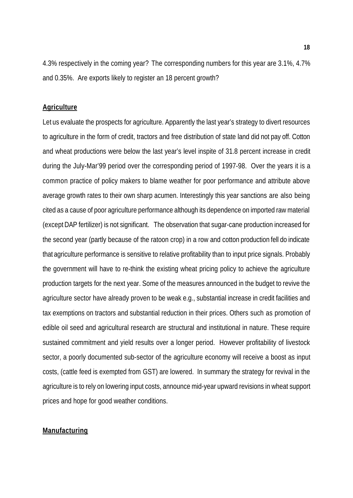4.3% respectively in the coming year? The corresponding numbers for this year are 3.1%, 4.7% and 0.35%. Are exports likely to register an 18 percent growth?

#### **Agriculture**

Let us evaluate the prospects for agriculture. Apparently the last year's strategy to divert resources to agriculture in the form of credit, tractors and free distribution of state land did not pay off. Cotton and wheat productions were below the last year's level inspite of 31.8 percent increase in credit during the July-Mar'99 period over the corresponding period of 1997-98. Over the years it is a common practice of policy makers to blame weather for poor performance and attribute above average growth rates to their own sharp acumen. Interestingly this year sanctions are also being cited as a cause of poor agriculture performance although its dependence on imported raw material (except DAP fertilizer) is not significant. The observation that sugar-cane production increased for the second year (partly because of the ratoon crop) in a row and cotton production fell do indicate that agriculture performance is sensitive to relative profitability than to input price signals. Probably the government will have to re-think the existing wheat pricing policy to achieve the agriculture production targets for the next year. Some of the measures announced in the budget to revive the agriculture sector have already proven to be weak e.g., substantial increase in credit facilities and tax exemptions on tractors and substantial reduction in their prices. Others such as promotion of edible oil seed and agricultural research are structural and institutional in nature. These require sustained commitment and yield results over a longer period. However profitability of livestock sector, a poorly documented sub-sector of the agriculture economy will receive a boost as input costs, (cattle feed is exempted from GST) are lowered. In summary the strategy for revival in the agriculture is to rely on lowering input costs, announce mid-year upward revisions in wheat support prices and hope for good weather conditions.

### **Manufacturing**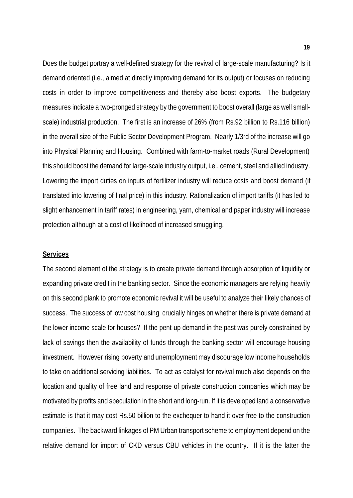Does the budget portray a well-defined strategy for the revival of large-scale manufacturing? Is it demand oriented (i.e., aimed at directly improving demand for its output) or focuses on reducing costs in order to improve competitiveness and thereby also boost exports. The budgetary measures indicate a two-pronged strategy by the government to boost overall (large as well smallscale) industrial production. The first is an increase of 26% (from Rs.92 billion to Rs.116 billion) in the overall size of the Public Sector Development Program. Nearly 1/3rd of the increase will go into Physical Planning and Housing. Combined with farm-to-market roads (Rural Development) this should boost the demand for large-scale industry output, i.e., cement, steel and allied industry. Lowering the import duties on inputs of fertilizer industry will reduce costs and boost demand (if translated into lowering of final price) in this industry. Rationalization of import tariffs (it has led to slight enhancement in tariff rates) in engineering, yarn, chemical and paper industry will increase protection although at a cost of likelihood of increased smuggling.

#### **Services**

The second element of the strategy is to create private demand through absorption of liquidity or expanding private credit in the banking sector. Since the economic managers are relying heavily on this second plank to promote economic revival it will be useful to analyze their likely chances of success. The success of low cost housing crucially hinges on whether there is private demand at the lower income scale for houses? If the pent-up demand in the past was purely constrained by lack of savings then the availability of funds through the banking sector will encourage housing investment. However rising poverty and unemployment may discourage low income households to take on additional servicing liabilities. To act as catalyst for revival much also depends on the location and quality of free land and response of private construction companies which may be motivated by profits and speculation in the short and long-run. If it is developed land a conservative estimate is that it may cost Rs.50 billion to the exchequer to hand it over free to the construction companies. The backward linkages of PM Urban transport scheme to employment depend on the relative demand for import of CKD versus CBU vehicles in the country. If it is the latter the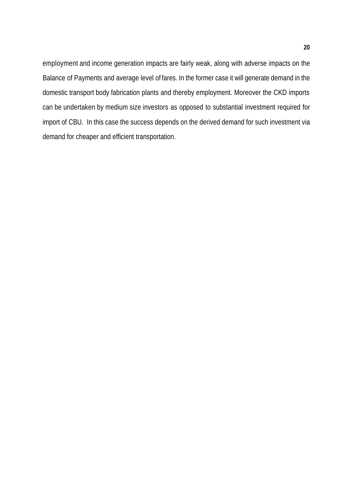employment and income generation impacts are fairly weak, along with adverse impacts on the Balance of Payments and average level of fares. In the former case it will generate demand in the domestic transport body fabrication plants and thereby employment. Moreover the CKD imports can be undertaken by medium size investors as opposed to substantial investment required for import of CBU. In this case the success depends on the derived demand for such investment via demand for cheaper and efficient transportation.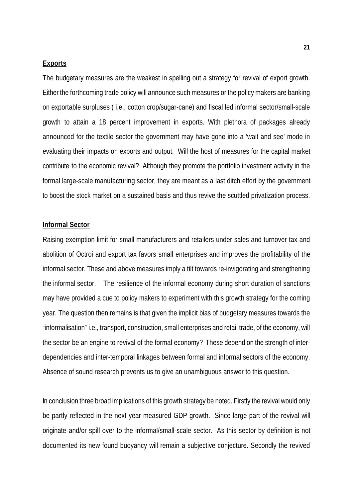### **Exports**

The budgetary measures are the weakest in spelling out a strategy for revival of export growth. Either the forthcoming trade policy will announce such measures or the policy makers are banking on exportable surpluses ( i.e., cotton crop/sugar-cane) and fiscal led informal sector/small-scale growth to attain a 18 percent improvement in exports. With plethora of packages already announced for the textile sector the government may have gone into a 'wait and see' mode in evaluating their impacts on exports and output. Will the host of measures for the capital market contribute to the economic revival? Although they promote the portfolio investment activity in the formal large-scale manufacturing sector, they are meant as a last ditch effort by the government to boost the stock market on a sustained basis and thus revive the scuttled privatization process.

### **Informal Sector**

Raising exemption limit for small manufacturers and retailers under sales and turnover tax and abolition of Octroi and export tax favors small enterprises and improves the profitability of the informal sector. These and above measures imply a tilt towards re-invigorating and strengthening the informal sector. The resilience of the informal economy during short duration of sanctions may have provided a cue to policy makers to experiment with this growth strategy for the coming year. The question then remains is that given the implicit bias of budgetary measures towards the "informalisation" i.e., transport, construction, small enterprises and retail trade, of the economy, will the sector be an engine to revival of the formal economy? These depend on the strength of interdependencies and inter-temporal linkages between formal and informal sectors of the economy. Absence of sound research prevents us to give an unambiguous answer to this question.

In conclusion three broad implications of this growth strategy be noted. Firstly the revival would only be partly reflected in the next year measured GDP growth. Since large part of the revival will originate and/or spill over to the informal/small-scale sector. As this sector by definition is not documented its new found buoyancy will remain a subjective conjecture. Secondly the revived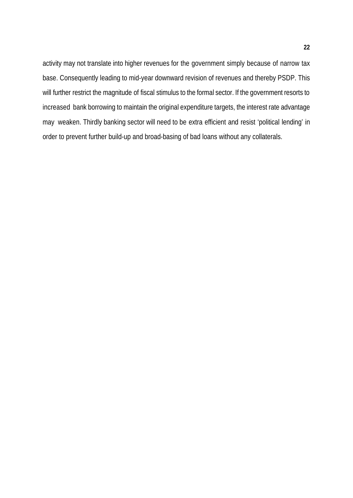activity may not translate into higher revenues for the government simply because of narrow tax base. Consequently leading to mid-year downward revision of revenues and thereby PSDP. This will further restrict the magnitude of fiscal stimulus to the formal sector. If the government resorts to increased bank borrowing to maintain the original expenditure targets, the interest rate advantage may weaken. Thirdly banking sector will need to be extra efficient and resist 'political lending' in order to prevent further build-up and broad-basing of bad loans without any collaterals.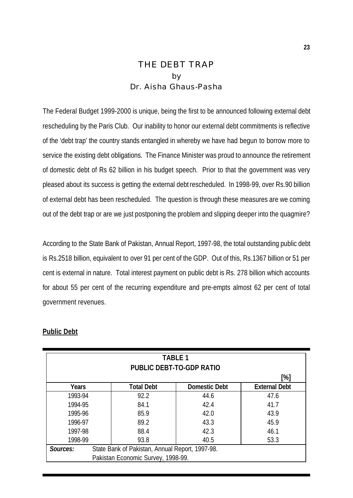### THE DEBT TRAP by Dr. Aisha Ghaus-Pasha

The Federal Budget 1999-2000 is unique, being the first to be announced following external debt rescheduling by the Paris Club. Our inability to honor our external debt commitments is reflective of the 'debt trap' the country stands entangled in whereby we have had begun to borrow more to service the existing debt obligations. The Finance Minister was proud to announce the retirement of domestic debt of Rs 62 billion in his budget speech. Prior to that the government was very pleased about its success is getting the external debt rescheduled. In 1998-99, over Rs.90 billion of external debt has been rescheduled. The question is through these measures are we coming out of the debt trap or are we just postponing the problem and slipping deeper into the quagmire?

According to the State Bank of Pakistan, Annual Report, 1997-98, the total outstanding public debt is Rs.2518 billion, equivalent to over 91 per cent of the GDP. Out of this, Rs.1367 billion or 51 per cent is external in nature. Total interest payment on public debt is Rs. 278 billion which accounts for about 55 per cent of the recurring expenditure and pre-empts almost 62 per cent of total government revenues.

| <b>TABLE 1</b><br><b>PUBLIC DEBT-TO-GDP RATIO</b> |                                                 |                      |                      |  |  |  |
|---------------------------------------------------|-------------------------------------------------|----------------------|----------------------|--|--|--|
|                                                   | [%]                                             |                      |                      |  |  |  |
| <b>Years</b>                                      | <b>Total Debt</b>                               | <b>Domestic Debt</b> | <b>External Debt</b> |  |  |  |
| 1993-94                                           | 92.2                                            | 44.6                 | 47.6                 |  |  |  |
| 1994-95                                           | 84.1                                            | 42.4                 | 41.7                 |  |  |  |
| 1995-96                                           | 85.9                                            | 42.0                 | 43.9                 |  |  |  |
| 1996-97                                           | 89.2                                            | 43.3                 | 45.9                 |  |  |  |
| 1997-98                                           | 88.4                                            | 42.3                 | 46.1                 |  |  |  |
| 1998-99                                           | 93.8                                            | 40.5                 | 53.3                 |  |  |  |
| Sources:                                          | State Bank of Pakistan, Annual Report, 1997-98. |                      |                      |  |  |  |
| Pakistan Economic Survey, 1998-99.                |                                                 |                      |                      |  |  |  |

### **Public Debt**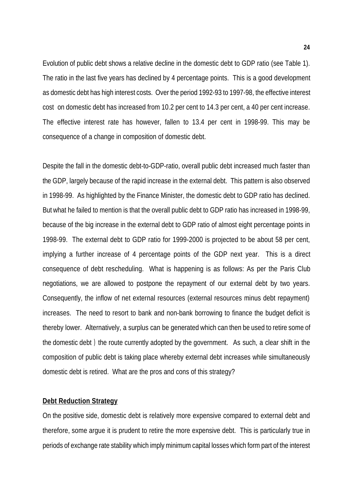Evolution of public debt shows a relative decline in the domestic debt to GDP ratio (see Table 1). The ratio in the last five years has declined by 4 percentage points. This is a good development as domestic debt has high interest costs. Over the period 1992-93 to 1997-98, the effective interest cost on domestic debt has increased from 10.2 per cent to 14.3 per cent, a 40 per cent increase. The effective interest rate has however, fallen to 13.4 per cent in 1998-99. This may be consequence of a change in composition of domestic debt.

Despite the fall in the domestic debt-to-GDP-ratio, overall public debt increased much faster than the GDP, largely because of the rapid increase in the external debt. This pattern is also observed in 1998-99. As highlighted by the Finance Minister, the domestic debt to GDP ratio has declined. But what he failed to mention is that the overall public debt to GDP ratio has increased in 1998-99, because of the big increase in the external debt to GDP ratio of almost eight percentage points in 1998-99. The external debt to GDP ratio for 1999-2000 is projected to be about 58 per cent, implying a further increase of 4 percentage points of the GDP next year. This is a direct consequence of debt rescheduling. What is happening is as follows: As per the Paris Club negotiations, we are allowed to postpone the repayment of our external debt by two years. Consequently, the inflow of net external resources (external resources minus debt repayment) increases. The need to resort to bank and non-bank borrowing to finance the budget deficit is thereby lower. Alternatively, a surplus can be generated which can then be used to retire some of the domestic debt ) the route currently adopted by the government. As such, a clear shift in the composition of public debt is taking place whereby external debt increases while simultaneously domestic debt is retired. What are the pros and cons of this strategy?

### **Debt Reduction Strategy**

On the positive side, domestic debt is relatively more expensive compared to external debt and therefore, some argue it is prudent to retire the more expensive debt. This is particularly true in periods of exchange rate stability which imply minimum capital losses which form part of the interest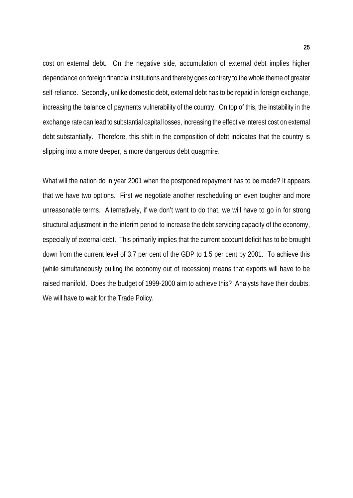cost on external debt. On the negative side, accumulation of external debt implies higher dependance on foreign financial institutions and thereby goes contrary to the whole theme of greater self-reliance. Secondly, unlike domestic debt, external debt has to be repaid in foreign exchange, increasing the balance of payments vulnerability of the country. On top of this, the instability in the exchange rate can lead to substantial capital losses, increasing the effective interest cost on external debt substantially. Therefore, this shift in the composition of debt indicates that the country is slipping into a more deeper, a more dangerous debt quagmire.

What will the nation do in year 2001 when the postponed repayment has to be made? It appears that we have two options. First we negotiate another rescheduling on even tougher and more unreasonable terms. Alternatively, if we don't want to do that, we will have to go in for strong structural adjustment in the interim period to increase the debt servicing capacity of the economy, especially of external debt. This primarily implies that the current account deficit has to be brought down from the current level of 3.7 per cent of the GDP to 1.5 per cent by 2001. To achieve this (while simultaneously pulling the economy out of recession) means that exports will have to be raised manifold. Does the budget of 1999-2000 aim to achieve this? Analysts have their doubts. We will have to wait for the Trade Policy.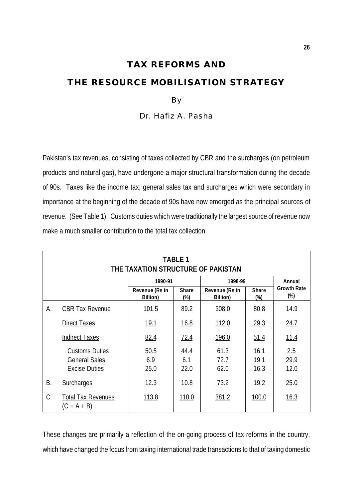## **TAX REFORMS AND THE RESOURCE MOBILISATION STRATEGY**

### By

Dr. Hafiz A. Pasha

Pakistan's tax revenues, consisting of taxes collected by CBR and the surcharges (on petroleum products and natural gas), have undergone a major structural transformation during the decade of 90s. Taxes like the income tax, general sales tax and surcharges which were secondary in importance at the beginning of the decade of 90s have now emerged as the principal sources of revenue. (See Table 1). Customs duties which were traditionally the largest source of revenue now make a much smaller contribution to the total tax collection.

|    | <b>TABLE 1</b><br>THE TAXATION STRUCTURE OF PAKISTAN                  |                            |                        |                            |                        |                              |  |
|----|-----------------------------------------------------------------------|----------------------------|------------------------|----------------------------|------------------------|------------------------------|--|
|    |                                                                       | 1990-91                    |                        | 1998-99                    | Annual                 |                              |  |
|    |                                                                       | Revenue (Rs in<br>Billion) | <b>Share</b><br>$(\%)$ | Revenue (Rs in<br>Billion) | <b>Share</b><br>$(\%)$ | <b>Growth Rate</b><br>$(\%)$ |  |
| А. | <b>CBR Tax Revenue</b>                                                | <u>101.5</u>               | 89.2                   | 308.0                      | 80.8                   | <u>14.9</u>                  |  |
|    | <b>Direct Taxes</b>                                                   | <u>19.1</u>                | 16.8                   | 112.0                      | 29.3                   | 24.7                         |  |
|    | <b>Indirect Taxes</b>                                                 | 82.4                       | 72.4                   | 196.0                      | 51.4                   | <u> 11.4</u>                 |  |
|    | <b>Customs Duties</b><br><b>General Sales</b><br><b>Excise Duties</b> | 50.5<br>6.9<br>25.0        | 44.4<br>6.1<br>22.0    | 61.3<br>72.7<br>62.0       | 16.1<br>19.1<br>16.3   | 2.5<br>29.9<br>12.0          |  |
| Β. | Surcharges                                                            | 12.3                       | 10.8                   | 73.2                       | 19.2                   | 25.0                         |  |
| C. | <b>Total Tax Revenues</b><br>$(C = A + B)$                            | 113.8                      | <u>110.0</u>           | 381.2                      | 100.0                  | 16.3                         |  |

These changes are primarily a reflection of the on-going process of tax reforms in the country, which have changed the focus from taxing international trade transactions to that of taxing domestic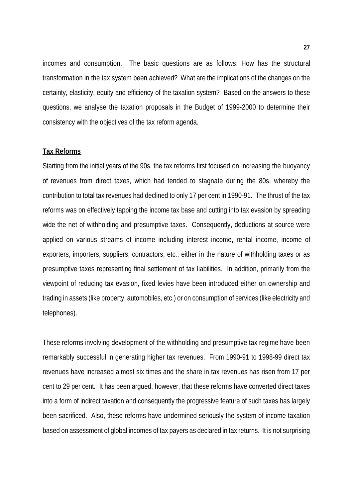incomes and consumption. The basic questions are as follows: How has the structural transformation in the tax system been achieved? What are the implications of the changes on the certainty, elasticity, equity and efficiency of the taxation system? Based on the answers to these questions, we analyse the taxation proposals in the Budget of 1999-2000 to determine their consistency with the objectives of the tax reform agenda.

#### **Tax Reforms**

Starting from the initial years of the 90s, the tax reforms first focused on increasing the buoyancy of revenues from direct taxes, which had tended to stagnate during the 80s, whereby the contribution to total tax revenues had declined to only 17 per cent in 1990-91. The thrust of the tax reforms was on effectively tapping the income tax base and cutting into tax evasion by spreading wide the net of withholding and presumptive taxes. Consequently, deductions at source were applied on various streams of income including interest income, rental income, income of exporters, importers, suppliers, contractors, etc., either in the nature of withholding taxes or as presumptive taxes representing final settlement of tax liabilities. In addition, primarily from the viewpoint of reducing tax evasion, fixed levies have been introduced either on ownership and trading in assets (like property, automobiles, etc.) or on consumption of services (like electricity and telephones).

These reforms involving development of the withholding and presumptive tax regime have been remarkably successful in generating higher tax revenues. From 1990-91 to 1998-99 direct tax revenues have increased almost six times and the share in tax revenues has risen from 17 per cent to 29 per cent. It has been argued, however, that these reforms have converted direct taxes into a form of indirect taxation and consequently the progressive feature of such taxes has largely been sacrificed. Also, these reforms have undermined seriously the system of income taxation based on assessment of global incomes of tax payers as declared in tax returns. It is not surprising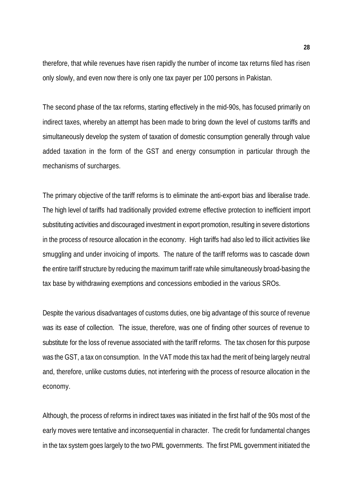therefore, that while revenues have risen rapidly the number of income tax returns filed has risen only slowly, and even now there is only one tax payer per 100 persons in Pakistan.

The second phase of the tax reforms, starting effectively in the mid-90s, has focused primarily on indirect taxes, whereby an attempt has been made to bring down the level of customs tariffs and simultaneously develop the system of taxation of domestic consumption generally through value added taxation in the form of the GST and energy consumption in particular through the mechanisms of surcharges.

The primary objective of the tariff reforms is to eliminate the anti-export bias and liberalise trade. The high level of tariffs had traditionally provided extreme effective protection to inefficient import substituting activities and discouraged investment in export promotion, resulting in severe distortions in the process of resource allocation in the economy. High tariffs had also led to illicit activities like smuggling and under invoicing of imports. The nature of the tariff reforms was to cascade down the entire tariff structure by reducing the maximum tariff rate while simultaneously broad-basing the tax base by withdrawing exemptions and concessions embodied in the various SROs.

Despite the various disadvantages of customs duties, one big advantage of this source of revenue was its ease of collection. The issue, therefore, was one of finding other sources of revenue to substitute for the loss of revenue associated with the tariff reforms. The tax chosen for this purpose was the GST, a tax on consumption. In the VAT mode this tax had the merit of being largely neutral and, therefore, unlike customs duties, not interfering with the process of resource allocation in the economy.

Although, the process of reforms in indirect taxes was initiated in the first half of the 90s most of the early moves were tentative and inconsequential in character. The credit for fundamental changes in the tax system goes largely to the two PML governments. The first PML government initiated the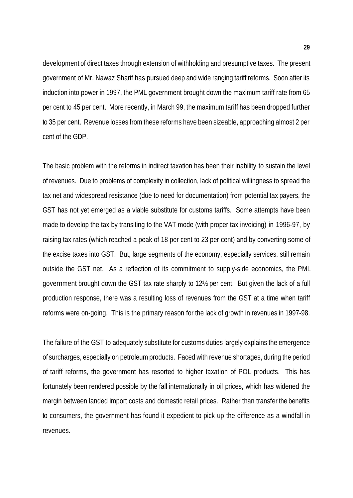development of direct taxes through extension of withholding and presumptive taxes. The present government of Mr. Nawaz Sharif has pursued deep and wide ranging tariff reforms. Soon after its induction into power in 1997, the PML government brought down the maximum tariff rate from 65 per cent to 45 per cent. More recently, in March 99, the maximum tariff has been dropped further to 35 per cent. Revenue losses from these reforms have been sizeable, approaching almost 2 per cent of the GDP.

The basic problem with the reforms in indirect taxation has been their inability to sustain the level of revenues. Due to problems of complexity in collection, lack of political willingness to spread the tax net and widespread resistance (due to need for documentation) from potential tax payers, the GST has not yet emerged as a viable substitute for customs tariffs. Some attempts have been made to develop the tax by transiting to the VAT mode (with proper tax invoicing) in 1996-97, by raising tax rates (which reached a peak of 18 per cent to 23 per cent) and by converting some of the excise taxes into GST. But, large segments of the economy, especially services, still remain outside the GST net. As a reflection of its commitment to supply-side economics, the PML government brought down the GST tax rate sharply to 12½ per cent. But given the lack of a full production response, there was a resulting loss of revenues from the GST at a time when tariff reforms were on-going. This is the primary reason for the lack of growth in revenues in 1997-98.

The failure of the GST to adequately substitute for customs duties largely explains the emergence of surcharges, especially on petroleum products. Faced with revenue shortages, during the period of tariff reforms, the government has resorted to higher taxation of POL products. This has fortunately been rendered possible by the fall internationally in oil prices, which has widened the margin between landed import costs and domestic retail prices. Rather than transfer the benefits to consumers, the government has found it expedient to pick up the difference as a windfall in revenues.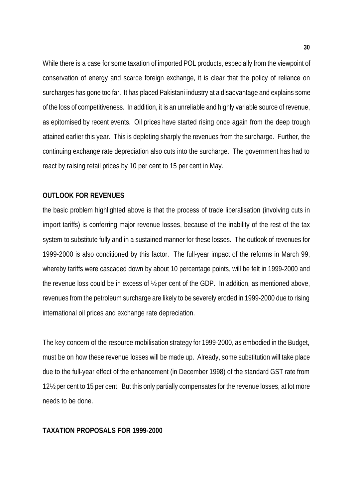While there is a case for some taxation of imported POL products, especially from the viewpoint of conservation of energy and scarce foreign exchange, it is clear that the policy of reliance on surcharges has gone too far. It has placed Pakistani industry at a disadvantage and explains some of the loss of competitiveness. In addition, it is an unreliable and highly variable source of revenue, as epitomised by recent events. Oil prices have started rising once again from the deep trough attained earlier this year. This is depleting sharply the revenues from the surcharge. Further, the continuing exchange rate depreciation also cuts into the surcharge. The government has had to react by raising retail prices by 10 per cent to 15 per cent in May.

### **OUTLOOK FOR REVENUES**

the basic problem highlighted above is that the process of trade liberalisation (involving cuts in import tariffs) is conferring major revenue losses, because of the inability of the rest of the tax system to substitute fully and in a sustained manner for these losses. The outlook of revenues for 1999-2000 is also conditioned by this factor. The full-year impact of the reforms in March 99, whereby tariffs were cascaded down by about 10 percentage points, will be felt in 1999-2000 and the revenue loss could be in excess of ½ per cent of the GDP. In addition, as mentioned above, revenues from the petroleum surcharge are likely to be severely eroded in 1999-2000 due to rising international oil prices and exchange rate depreciation.

The key concern of the resource mobilisation strategy for 1999-2000, as embodied in the Budget, must be on how these revenue losses will be made up. Already, some substitution will take place due to the full-year effect of the enhancement (in December 1998) of the standard GST rate from 12½ per cent to 15 per cent. But this only partially compensates for the revenue losses, at lot more needs to be done.

### **TAXATION PROPOSALS FOR 1999-2000**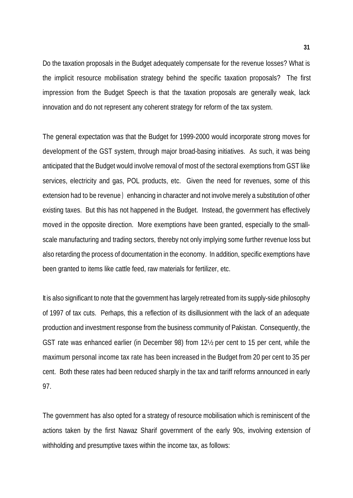Do the taxation proposals in the Budget adequately compensate for the revenue losses? What is the implicit resource mobilisation strategy behind the specific taxation proposals? The first impression from the Budget Speech is that the taxation proposals are generally weak, lack innovation and do not represent any coherent strategy for reform of the tax system.

The general expectation was that the Budget for 1999-2000 would incorporate strong moves for development of the GST system, through major broad-basing initiatives. As such, it was being anticipated that the Budget would involve removal of most of the sectoral exemptions from GST like services, electricity and gas, POL products, etc. Given the need for revenues, some of this extension had to be revenue ) enhancing in character and not involve merely a substitution of other existing taxes. But this has not happened in the Budget. Instead, the government has effectively moved in the opposite direction. More exemptions have been granted, especially to the smallscale manufacturing and trading sectors, thereby not only implying some further revenue loss but also retarding the process of documentation in the economy. In addition, specific exemptions have been granted to items like cattle feed, raw materials for fertilizer, etc.

It is also significant to note that the government has largely retreated from its supply-side philosophy of 1997 of tax cuts. Perhaps, this a reflection of its disillusionment with the lack of an adequate production and investment response from the business community of Pakistan. Consequently, the GST rate was enhanced earlier (in December 98) from 12½ per cent to 15 per cent, while the maximum personal income tax rate has been increased in the Budget from 20 per cent to 35 per cent. Both these rates had been reduced sharply in the tax and tariff reforms announced in early 97.

The government has also opted for a strategy of resource mobilisation which is reminiscent of the actions taken by the first Nawaz Sharif government of the early 90s, involving extension of withholding and presumptive taxes within the income tax, as follows: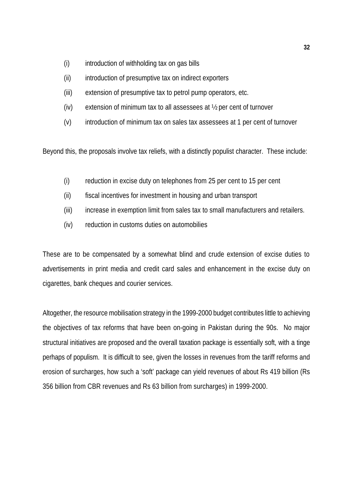- (i) introduction of withholding tax on gas bills
- (ii) introduction of presumptive tax on indirect exporters
- (iii) extension of presumptive tax to petrol pump operators, etc.
- (iv) extension of minimum tax to all assessees at ½ per cent of turnover
- (v) introduction of minimum tax on sales tax assessees at 1 per cent of turnover

Beyond this, the proposals involve tax reliefs, with a distinctly populist character. These include:

- (i) reduction in excise duty on telephones from 25 per cent to 15 per cent
- (ii) fiscal incentives for investment in housing and urban transport
- (iii) increase in exemption limit from sales tax to small manufacturers and retailers.
- (iv) reduction in customs duties on automobilies

These are to be compensated by a somewhat blind and crude extension of excise duties to advertisements in print media and credit card sales and enhancement in the excise duty on cigarettes, bank cheques and courier services.

Altogether, the resource mobilisation strategy in the 1999-2000 budget contributes little to achieving the objectives of tax reforms that have been on-going in Pakistan during the 90s. No major structural initiatives are proposed and the overall taxation package is essentially soft, with a tinge perhaps of populism. It is difficult to see, given the losses in revenues from the tariff reforms and erosion of surcharges, how such a 'soft' package can yield revenues of about Rs 419 billion (Rs 356 billion from CBR revenues and Rs 63 billion from surcharges) in 1999-2000.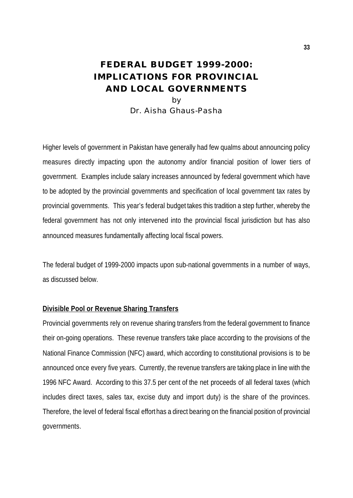### **FEDERAL BUDGET 1999-2000: IMPLICATIONS FOR PROVINCIAL AND LOCAL GOVERNMENTS** by

Dr. Aisha Ghaus-Pasha

Higher levels of government in Pakistan have generally had few qualms about announcing policy measures directly impacting upon the autonomy and/or financial position of lower tiers of government. Examples include salary increases announced by federal government which have to be adopted by the provincial governments and specification of local government tax rates by provincial governments. This year's federal budget takes this tradition a step further, whereby the federal government has not only intervened into the provincial fiscal jurisdiction but has also announced measures fundamentally affecting local fiscal powers.

The federal budget of 1999-2000 impacts upon sub-national governments in a number of ways, as discussed below.

### **Divisible Pool or Revenue Sharing Transfers**

Provincial governments rely on revenue sharing transfers from the federal government to finance their on-going operations. These revenue transfers take place according to the provisions of the National Finance Commission (NFC) award, which according to constitutional provisions is to be announced once every five years. Currently, the revenue transfers are taking place in line with the 1996 NFC Award. According to this 37.5 per cent of the net proceeds of all federal taxes (which includes direct taxes, sales tax, excise duty and import duty) is the share of the provinces. Therefore, the level of federal fiscal effort has a direct bearing on the financial position of provincial governments.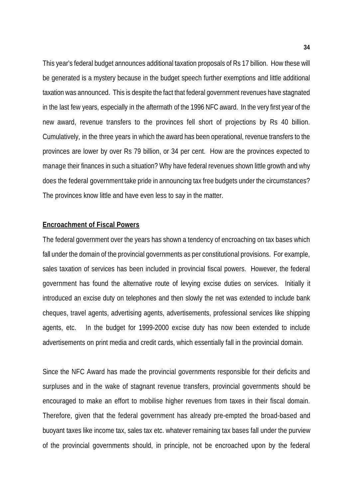This year's federal budget announces additional taxation proposals of Rs 17 billion. How these will be generated is a mystery because in the budget speech further exemptions and little additional taxation was announced. This is despite the fact that federal government revenues have stagnated in the last few years, especially in the aftermath of the 1996 NFC award. In the very first year of the new award, revenue transfers to the provinces fell short of projections by Rs 40 billion. Cumulatively, in the three years in which the award has been operational, revenue transfers to the provinces are lower by over Rs 79 billion, or 34 per cent. How are the provinces expected to manage their finances in such a situation? Why have federal revenues shown little growth and why does the federal government take pride in announcing tax free budgets under the circumstances? The provinces know little and have even less to say in the matter.

### **Encroachment of Fiscal Powers**

The federal government over the years has shown a tendency of encroaching on tax bases which fall under the domain of the provincial governments as per constitutional provisions. For example, sales taxation of services has been included in provincial fiscal powers. However, the federal government has found the alternative route of levying excise duties on services. Initially it introduced an excise duty on telephones and then slowly the net was extended to include bank cheques, travel agents, advertising agents, advertisements, professional services like shipping agents, etc. In the budget for 1999-2000 excise duty has now been extended to include advertisements on print media and credit cards, which essentially fall in the provincial domain.

Since the NFC Award has made the provincial governments responsible for their deficits and surpluses and in the wake of stagnant revenue transfers, provincial governments should be encouraged to make an effort to mobilise higher revenues from taxes in their fiscal domain. Therefore, given that the federal government has already pre-empted the broad-based and buoyant taxes like income tax, sales tax etc. whatever remaining tax bases fall under the purview of the provincial governments should, in principle, not be encroached upon by the federal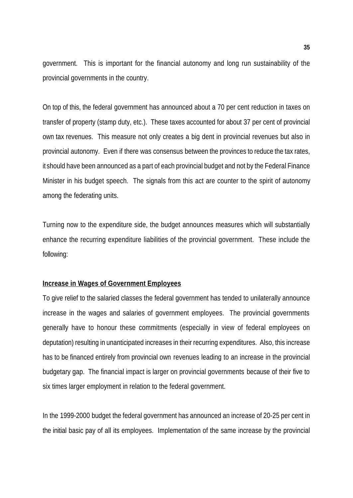government. This is important for the financial autonomy and long run sustainability of the provincial governments in the country.

On top of this, the federal government has announced about a 70 per cent reduction in taxes on transfer of property (stamp duty, etc.). These taxes accounted for about 37 per cent of provincial own tax revenues. This measure not only creates a big dent in provincial revenues but also in provincial autonomy. Even if there was consensus between the provinces to reduce the tax rates, it should have been announced as a part of each provincial budget and not by the Federal Finance Minister in his budget speech. The signals from this act are counter to the spirit of autonomy among the federating units.

Turning now to the expenditure side, the budget announces measures which will substantially enhance the recurring expenditure liabilities of the provincial government. These include the following:

### **Increase in Wages of Government Employees**

To give relief to the salaried classes the federal government has tended to unilaterally announce increase in the wages and salaries of government employees. The provincial governments generally have to honour these commitments (especially in view of federal employees on deputation) resulting in unanticipated increases in their recurring expenditures. Also, this increase has to be financed entirely from provincial own revenues leading to an increase in the provincial budgetary gap. The financial impact is larger on provincial governments because of their five to six times larger employment in relation to the federal government.

In the 1999-2000 budget the federal government has announced an increase of 20-25 per cent in the initial basic pay of all its employees. Implementation of the same increase by the provincial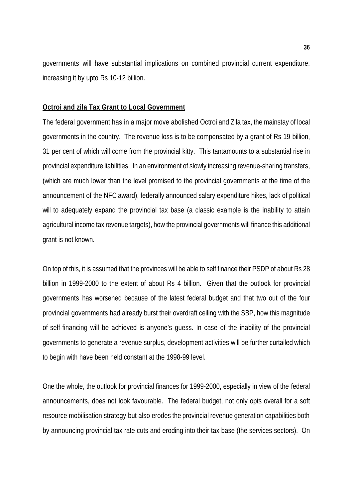governments will have substantial implications on combined provincial current expenditure, increasing it by upto Rs 10-12 billion.

### **Octroi and zila Tax Grant to Local Government**

The federal government has in a major move abolished Octroi and Zila tax, the mainstay of local governments in the country. The revenue loss is to be compensated by a grant of Rs 19 billion, 31 per cent of which will come from the provincial kitty. This tantamounts to a substantial rise in provincial expenditure liabilities. In an environment of slowly increasing revenue-sharing transfers, (which are much lower than the level promised to the provincial governments at the time of the announcement of the NFC award), federally announced salary expenditure hikes, lack of political will to adequately expand the provincial tax base (a classic example is the inability to attain agricultural income tax revenue targets), how the provincial governments will finance this additional grant is not known.

On top of this, it is assumed that the provinces will be able to self finance their PSDP of about Rs 28 billion in 1999-2000 to the extent of about Rs 4 billion. Given that the outlook for provincial governments has worsened because of the latest federal budget and that two out of the four provincial governments had already burst their overdraft ceiling with the SBP, how this magnitude of self-financing will be achieved is anyone's guess. In case of the inability of the provincial governments to generate a revenue surplus, development activities will be further curtailed which to begin with have been held constant at the 1998-99 level.

One the whole, the outlook for provincial finances for 1999-2000, especially in view of the federal announcements, does not look favourable. The federal budget, not only opts overall for a soft resource mobilisation strategy but also erodes the provincial revenue generation capabilities both by announcing provincial tax rate cuts and eroding into their tax base (the services sectors). On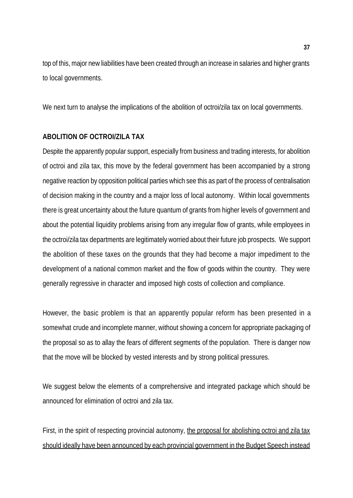top of this, major new liabilities have been created through an increase in salaries and higher grants to local governments.

We next turn to analyse the implications of the abolition of octroi/zila tax on local governments.

### **ABOLITION OF OCTROI/ZILA TAX**

Despite the apparently popular support, especially from business and trading interests, for abolition of octroi and zila tax, this move by the federal government has been accompanied by a strong negative reaction by opposition political parties which see this as part of the process of centralisation of decision making in the country and a major loss of local autonomy. Within local governments there is great uncertainty about the future quantum of grants from higher levels of government and about the potential liquidity problems arising from any irregular flow of grants, while employees in the octroi/zila tax departments are legitimately worried about their future job prospects. We support the abolition of these taxes on the grounds that they had become a major impediment to the development of a national common market and the flow of goods within the country. They were generally regressive in character and imposed high costs of collection and compliance.

However, the basic problem is that an apparently popular reform has been presented in a somewhat crude and incomplete manner, without showing a concern for appropriate packaging of the proposal so as to allay the fears of different segments of the population. There is danger now that the move will be blocked by vested interests and by strong political pressures.

We suggest below the elements of a comprehensive and integrated package which should be announced for elimination of octroi and zila tax.

First, in the spirit of respecting provincial autonomy, the proposal for abolishing octroi and zila tax should ideally have been announced by each provincial government in the Budget Speech instead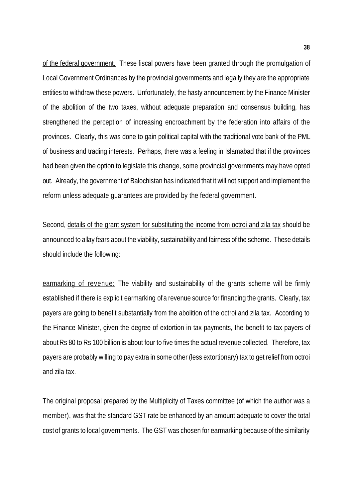of the federal government. These fiscal powers have been granted through the promulgation of Local Government Ordinances by the provincial governments and legally they are the appropriate entities to withdraw these powers. Unfortunately, the hasty announcement by the Finance Minister of the abolition of the two taxes, without adequate preparation and consensus building, has strengthened the perception of increasing encroachment by the federation into affairs of the provinces. Clearly, this was done to gain political capital with the traditional vote bank of the PML of business and trading interests. Perhaps, there was a feeling in Islamabad that if the provinces had been given the option to legislate this change, some provincial governments may have opted out. Already, the government of Balochistan has indicated that it will not support and implement the reform unless adequate guarantees are provided by the federal government.

Second, details of the grant system for substituting the income from octroi and zila tax should be announced to allay fears about the viability, sustainability and fairness of the scheme. These details should include the following:

earmarking of revenue: The viability and sustainability of the grants scheme will be firmly established if there is explicit earmarking of a revenue source for financing the grants. Clearly, tax payers are going to benefit substantially from the abolition of the octroi and zila tax. According to the Finance Minister, given the degree of extortion in tax payments, the benefit to tax payers of about Rs 80 to Rs 100 billion is about four to five times the actual revenue collected. Therefore, tax payers are probably willing to pay extra in some other (less extortionary) tax to get relief from octroi and zila tax.

The original proposal prepared by the Multiplicity of Taxes committee (of which the author was a member), was that the standard GST rate be enhanced by an amount adequate to cover the total cost of grants to local governments. The GST was chosen for earmarking because of the similarity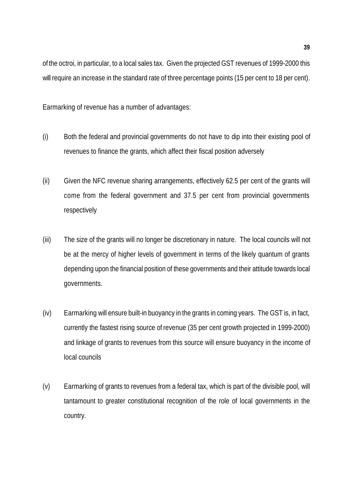of the octroi, in particular, to a local sales tax. Given the projected GST revenues of 1999-2000 this will require an increase in the standard rate of three percentage points (15 per cent to 18 per cent).

Earmarking of revenue has a number of advantages:

- (i) Both the federal and provincial governments do not have to dip into their existing pool of revenues to finance the grants, which affect their fiscal position adversely
- (ii) Given the NFC revenue sharing arrangements, effectively 62.5 per cent of the grants will come from the federal government and 37.5 per cent from provincial governments respectively
- (iii) The size of the grants will no longer be discretionary in nature. The local councils will not be at the mercy of higher levels of government in terms of the likely quantum of grants depending upon the financial position of these governments and their attitude towards local governments.
- (iv) Earmarking will ensure built-in buoyancy in the grants in coming years. The GST is, in fact, currently the fastest rising source of revenue (35 per cent growth projected in 1999-2000) and linkage of grants to revenues from this source will ensure buoyancy in the income of local councils
- (v) Earmarking of grants to revenues from a federal tax, which is part of the divisible pool, will tantamount to greater constitutional recognition of the role of local governments in the country.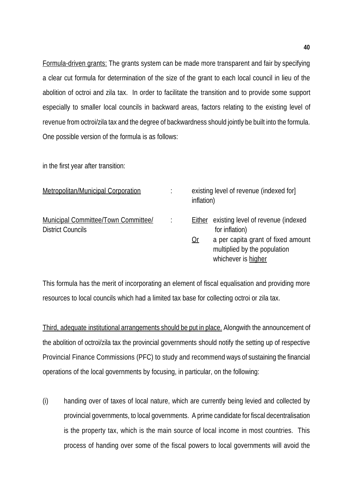Formula-driven grants: The grants system can be made more transparent and fair by specifying a clear cut formula for determination of the size of the grant to each local council in lieu of the abolition of octroi and zila tax. In order to facilitate the transition and to provide some support especially to smaller local councils in backward areas, factors relating to the existing level of revenue from octroi/zila tax and the degree of backwardness should jointly be built into the formula. One possible version of the formula is as follows:

in the first year after transition:

| Metropolitan/Municipal Corporation                              | existing level of revenue (indexed for)<br>inflation)                                                  |
|-----------------------------------------------------------------|--------------------------------------------------------------------------------------------------------|
| Municipal Committee/Town Committee/<br><b>District Councils</b> | <b>Either</b> existing level of revenue (indexed<br>for inflation)                                     |
|                                                                 | a per capita grant of fixed amount<br><u>Or</u><br>multiplied by the population<br>whichever is higher |

This formula has the merit of incorporating an element of fiscal equalisation and providing more resources to local councils which had a limited tax base for collecting octroi or zila tax.

Third, adequate institutional arrangements should be put in place. Alongwith the announcement of the abolition of octroi/zila tax the provincial governments should notify the setting up of respective Provincial Finance Commissions (PFC) to study and recommend ways of sustaining the financial operations of the local governments by focusing, in particular, on the following:

(i) handing over of taxes of local nature, which are currently being levied and collected by provincial governments, to local governments. A prime candidate for fiscal decentralisation is the property tax, which is the main source of local income in most countries. This process of handing over some of the fiscal powers to local governments will avoid the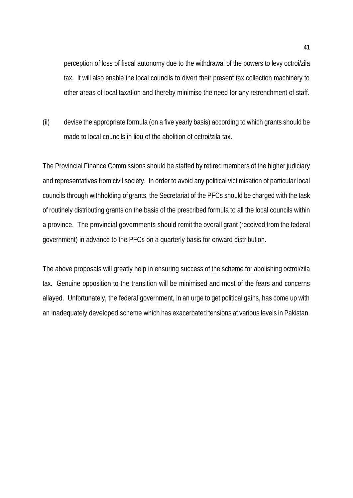perception of loss of fiscal autonomy due to the withdrawal of the powers to levy octroi/zila tax. It will also enable the local councils to divert their present tax collection machinery to other areas of local taxation and thereby minimise the need for any retrenchment of staff.

(ii) devise the appropriate formula (on a five yearly basis) according to which grants should be made to local councils in lieu of the abolition of octroi/zila tax.

The Provincial Finance Commissions should be staffed by retired members of the higher judiciary and representatives from civil society. In order to avoid any political victimisation of particular local councils through withholding of grants, the Secretariat of the PFCs should be charged with the task of routinely distributing grants on the basis of the prescribed formula to all the local councils within a province. The provincial governments should remit the overall grant (received from the federal government) in advance to the PFCs on a quarterly basis for onward distribution.

The above proposals will greatly help in ensuring success of the scheme for abolishing octroi/zila tax. Genuine opposition to the transition will be minimised and most of the fears and concerns allayed. Unfortunately, the federal government, in an urge to get political gains, has come up with an inadequately developed scheme which has exacerbated tensions at various levels in Pakistan.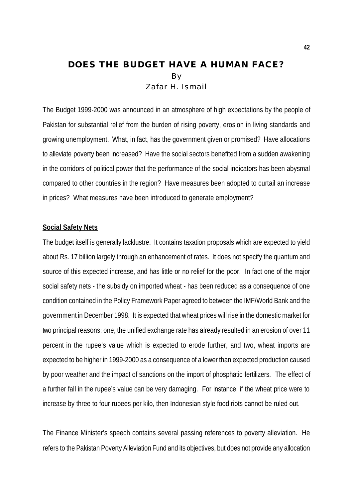### **DOES THE BUDGET HAVE A HUMAN FACE?** By Zafar H. Ismail

The Budget 1999-2000 was announced in an atmosphere of high expectations by the people of Pakistan for substantial relief from the burden of rising poverty, erosion in living standards and growing unemployment. What, in fact, has the government given or promised? Have allocations to alleviate poverty been increased? Have the social sectors benefited from a sudden awakening in the corridors of political power that the performance of the social indicators has been abysmal compared to other countries in the region? Have measures been adopted to curtail an increase in prices? What measures have been introduced to generate employment?

### **Social Safety Nets**

The budget itself is generally lacklustre. It contains taxation proposals which are expected to yield about Rs. 17 billion largely through an enhancement of rates. It does not specify the quantum and source of this expected increase, and has little or no relief for the poor. In fact one of the major social safety nets - the subsidy on imported wheat - has been reduced as a consequence of one condition contained in the Policy Framework Paper agreed to between the IMF/World Bank and the government in December 1998. It is expected that wheat prices will rise in the domestic market for two principal reasons: one, the unified exchange rate has already resulted in an erosion of over 11 percent in the rupee's value which is expected to erode further, and two, wheat imports are expected to be higher in 1999-2000 as a consequence of a lower than expected production caused by poor weather and the impact of sanctions on the import of phosphatic fertilizers. The effect of a further fall in the rupee's value can be very damaging. For instance, if the wheat price were to increase by three to four rupees per kilo, then Indonesian style food riots cannot be ruled out.

The Finance Minister's speech contains several passing references to poverty alleviation. He refers to the Pakistan Poverty Alleviation Fund and its objectives, but does not provide any allocation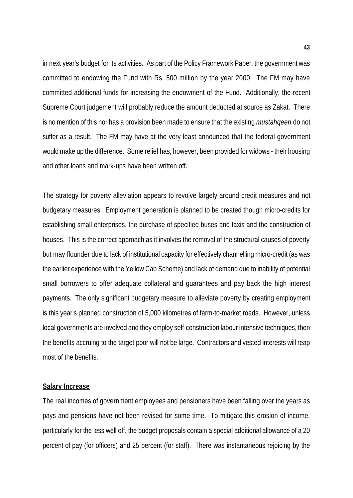in next year's budget for its activities. As part of the Policy Framework Paper, the government was committed to endowing the Fund with Rs. 500 million by the year 2000. The FM may have committed additional funds for increasing the endowment of the Fund. Additionally, the recent Supreme Court judgement will probably reduce the amount deducted at source as Zakat. There is no mention of this nor has a provision been made to ensure that the existing *mustahqeen* do not suffer as a result. The FM may have at the very least announced that the federal government would make up the difference. Some relief has, however, been provided for widows - their housing and other loans and mark-ups have been written off.

The strategy for poverty alleviation appears to revolve largely around credit measures and not budgetary measures. Employment generation is planned to be created though micro-credits for establishing small enterprises, the purchase of specified buses and taxis and the construction of houses. This is the correct approach as it involves the removal of the structural causes of poverty but may flounder due to lack of institutional capacity for effectively channelling micro-credit (as was the earlier experience with the Yellow Cab Scheme) and lack of demand due to inability of potential small borrowers to offer adequate collateral and guarantees and pay back the high interest payments. The only significant budgetary measure to alleviate poverty by creating employment is this year's planned construction of 5,000 kilometres of farm-to-market roads. However, unless local governments are involved and they employ self-construction labour intensive techniques, then the benefits accruing to the target poor will not be large. Contractors and vested interests will reap most of the benefits.

### **Salary Increase**

The real incomes of government employees and pensioners have been falling over the years as pays and pensions have not been revised for some time. To mitigate this erosion of income, particularly for the less well off, the budget proposals contain a special additional allowance of a 20 percent of pay (for officers) and 25 percent (for staff). There was instantaneous rejoicing by the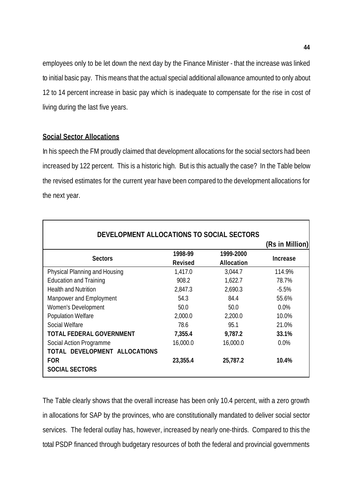employees only to be let down the next day by the Finance Minister - that the increase was linked to initial basic pay. This means that the actual special additional allowance amounted to only about 12 to 14 percent increase in basic pay which is inadequate to compensate for the rise in cost of living during the last five years.

### **Social Sector Allocations**

In his speech the FM proudly claimed that development allocations for the social sectors had been increased by 122 percent. This is a historic high. But is this actually the case? In the Table below the revised estimates for the current year have been compared to the development allocations for the next year.

| DEVELOPMENT ALLOCATIONS TO SOCIAL SECTORS |                |                   |                 |
|-------------------------------------------|----------------|-------------------|-----------------|
|                                           |                |                   | (Rs in Million) |
| <b>Sectors</b>                            | 1998-99        | 1999-2000         | <b>Increase</b> |
|                                           | <b>Revised</b> | <b>Allocation</b> |                 |
| Physical Planning and Housing             | 1,417.0        | 3,044.7           | 114.9%          |
| <b>Education and Training</b>             | 908.2          | 1,622.7           | 78.7%           |
| <b>Health and Nutrition</b>               | 2,847.3        | 2,690.3           | $-5.5%$         |
| Manpower and Employment                   | 54.3           | 84.4              | 55.6%           |
| Women's Development                       | 50.0           | 50.0              | $0.0\%$         |
| Population Welfare                        | 2,000.0        | 2,200.0           | 10.0%           |
| Social Welfare                            | 78.6           | 95.1              | 21.0%           |
| <b>TOTAL FEDERAL GOVERNMENT</b>           | 7,355.4        | 9,787.2           | 33.1%           |
| Social Action Programme                   | 16,000.0       | 16,000.0          | $0.0\%$         |
| TOTAL DEVELOPMENT ALLOCATIONS             |                |                   |                 |
| <b>FOR</b>                                | 23,355.4       | 25,787.2          | 10.4%           |
| <b>SOCIAL SECTORS</b>                     |                |                   |                 |

The Table clearly shows that the overall increase has been only 10.4 percent, with a zero growth in allocations for SAP by the provinces, who are constitutionally mandated to deliver social sector services. The federal outlay has, however, increased by nearly one-thirds. Compared to this the total PSDP financed through budgetary resources of both the federal and provincial governments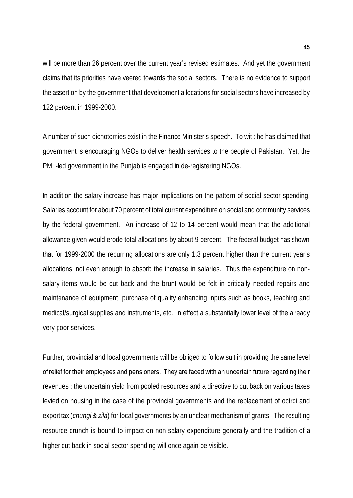will be more than 26 percent over the current year's revised estimates. And yet the government claims that its priorities have veered towards the social sectors. There is no evidence to support the assertion by the government that development allocations for social sectors have increased by 122 percent in 1999-2000.

A number of such dichotomies exist in the Finance Minister's speech. To wit : he has claimed that government is encouraging NGOs to deliver health services to the people of Pakistan. Yet, the PML-led government in the Punjab is engaged in de-registering NGOs.

In addition the salary increase has major implications on the pattern of social sector spending. Salaries account for about 70 percent of total current expenditure on social and community services by the federal government. An increase of 12 to 14 percent would mean that the additional allowance given would erode total allocations by about 9 percent. The federal budget has shown that for 1999-2000 the recurring allocations are only 1.3 percent higher than the current year's allocations, not even enough to absorb the increase in salaries. Thus the expenditure on nonsalary items would be cut back and the brunt would be felt in critically needed repairs and maintenance of equipment, purchase of quality enhancing inputs such as books, teaching and medical/surgical supplies and instruments, etc., in effect a substantially lower level of the already very poor services.

Further, provincial and local governments will be obliged to follow suit in providing the same level of relief for their employees and pensioners. They are faced with an uncertain future regarding their revenues : the uncertain yield from pooled resources and a directive to cut back on various taxes levied on housing in the case of the provincial governments and the replacement of octroi and export tax (*chungi & zila*) for local governments by an unclear mechanism of grants. The resulting resource crunch is bound to impact on non-salary expenditure generally and the tradition of a higher cut back in social sector spending will once again be visible.